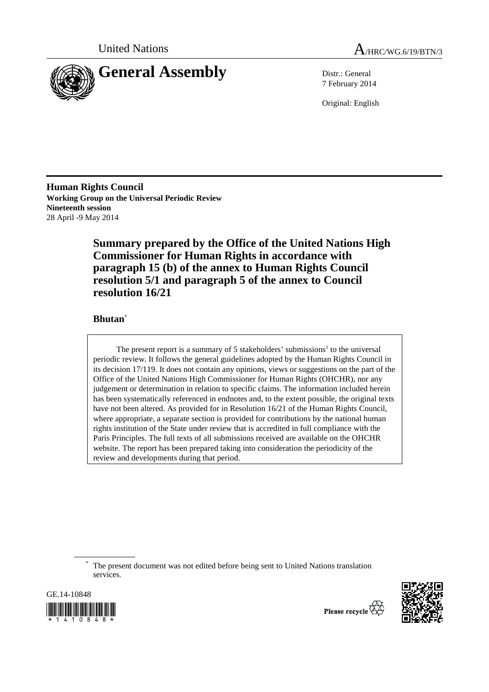



7 February 2014

Original: English

**Human Rights Council Working Group on the Universal Periodic Review Nineteenth session**  28 April -9 May 2014

> **Summary prepared by the Office of the United Nations High Commissioner for Human Rights in accordance with paragraph 15 (b) of the annex to Human Rights Council resolution 5/1 and paragraph 5 of the annex to Council resolution 16/21**

## **Bhutan**\*

The present report is a summary of 5 stakeholders' submissions<sup>1</sup> to the universal periodic review. It follows the general guidelines adopted by the Human Rights Council in its decision 17/119. It does not contain any opinions, views or suggestions on the part of the Office of the United Nations High Commissioner for Human Rights (OHCHR), nor any judgement or determination in relation to specific claims. The information included herein has been systematically referenced in endnotes and, to the extent possible, the original texts have not been altered. As provided for in Resolution 16/21 of the Human Rights Council, where appropriate, a separate section is provided for contributions by the national human rights institution of the State under review that is accredited in full compliance with the Paris Principles. The full texts of all submissions received are available on the OHCHR website. The report has been prepared taking into consideration the periodicity of the review and developments during that period.

\* The present document was not edited before being sent to United Nations translation services.



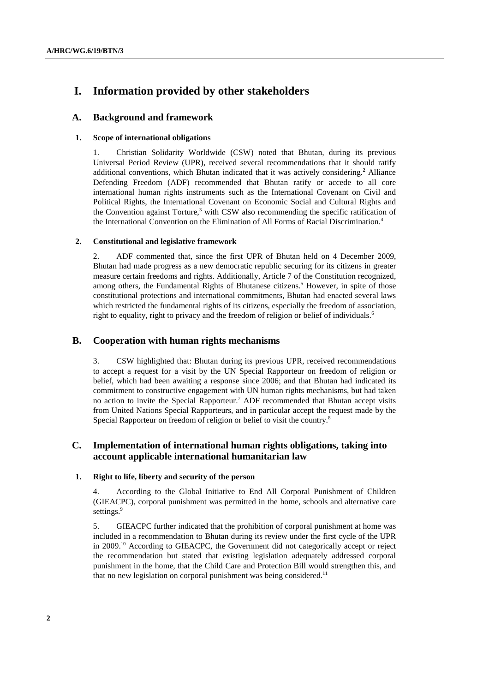# **I. Information provided by other stakeholders**

### **A. Background and framework**

### **1. Scope of international obligations**

1. Christian Solidarity Worldwide (CSW) noted that Bhutan, during its previous Universal Period Review (UPR), received several recommendations that it should ratify additional conventions, which Bhutan indicated that it was actively considering.**<sup>2</sup>** Alliance Defending Freedom (ADF) recommended that Bhutan ratify or accede to all core international human rights instruments such as the International Covenant on Civil and Political Rights, the International Covenant on Economic Social and Cultural Rights and the Convention against Torture, $3$  with CSW also recommending the specific ratification of the International Convention on the Elimination of All Forms of Racial Discrimination.4

### **2. Constitutional and legislative framework**

2. ADF commented that, since the first UPR of Bhutan held on 4 December 2009, Bhutan had made progress as a new democratic republic securing for its citizens in greater measure certain freedoms and rights. Additionally, Article 7 of the Constitution recognized, among others, the Fundamental Rights of Bhutanese citizens.<sup>5</sup> However, in spite of those constitutional protections and international commitments, Bhutan had enacted several laws which restricted the fundamental rights of its citizens, especially the freedom of association, right to equality, right to privacy and the freedom of religion or belief of individuals.<sup>6</sup>

### **B. Cooperation with human rights mechanisms**

3. CSW highlighted that: Bhutan during its previous UPR, received recommendations to accept a request for a visit by the UN Special Rapporteur on freedom of religion or belief, which had been awaiting a response since 2006; and that Bhutan had indicated its commitment to constructive engagement with UN human rights mechanisms, but had taken no action to invite the Special Rapporteur.<sup>7</sup> ADF recommended that Bhutan accept visits from United Nations Special Rapporteurs, and in particular accept the request made by the Special Rapporteur on freedom of religion or belief to visit the country.<sup>8</sup>

### **C. Implementation of international human rights obligations, taking into account applicable international humanitarian law**

#### **1. Right to life, liberty and security of the person**

4. According to the Global Initiative to End All Corporal Punishment of Children (GIEACPC), corporal punishment was permitted in the home, schools and alternative care settings.<sup>9</sup>

5. GIEACPC further indicated that the prohibition of corporal punishment at home was included in a recommendation to Bhutan during its review under the first cycle of the UPR in 2009.10 According to GIEACPC, the Government did not categorically accept or reject the recommendation but stated that existing legislation adequately addressed corporal punishment in the home, that the Child Care and Protection Bill would strengthen this, and that no new legislation on corporal punishment was being considered.<sup>11</sup>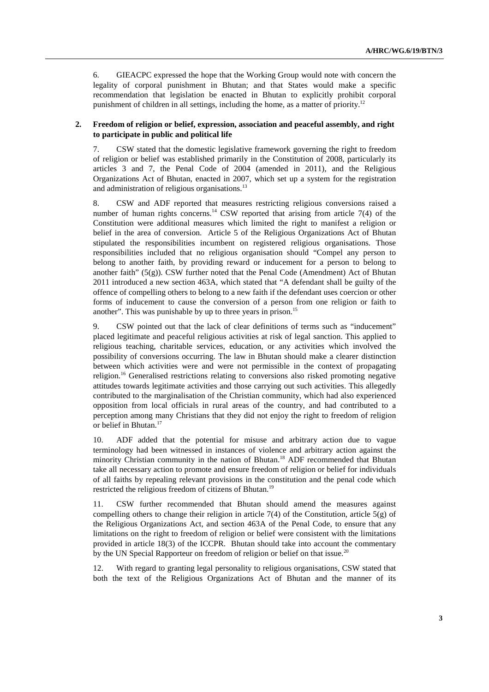6. GIEACPC expressed the hope that the Working Group would note with concern the legality of corporal punishment in Bhutan; and that States would make a specific recommendation that legislation be enacted in Bhutan to explicitly prohibit corporal punishment of children in all settings, including the home, as a matter of priority.12

#### **2. Freedom of religion or belief, expression, association and peaceful assembly, and right to participate in public and political life**

7. CSW stated that the domestic legislative framework governing the right to freedom of religion or belief was established primarily in the Constitution of 2008, particularly its articles 3 and 7, the Penal Code of 2004 (amended in 2011), and the Religious Organizations Act of Bhutan, enacted in 2007, which set up a system for the registration and administration of religious organisations.<sup>13</sup>

8. CSW and ADF reported that measures restricting religious conversions raised a number of human rights concerns.<sup>14</sup> CSW reported that arising from article  $7(4)$  of the Constitution were additional measures which limited the right to manifest a religion or belief in the area of conversion. Article 5 of the Religious Organizations Act of Bhutan stipulated the responsibilities incumbent on registered religious organisations. Those responsibilities included that no religious organisation should "Compel any person to belong to another faith, by providing reward or inducement for a person to belong to another faith"  $(5(g))$ . CSW further noted that the Penal Code (Amendment) Act of Bhutan 2011 introduced a new section 463A, which stated that "A defendant shall be guilty of the offence of compelling others to belong to a new faith if the defendant uses coercion or other forms of inducement to cause the conversion of a person from one religion or faith to another". This was punishable by up to three years in prison.<sup>15</sup>

9. CSW pointed out that the lack of clear definitions of terms such as "inducement" placed legitimate and peaceful religious activities at risk of legal sanction. This applied to religious teaching, charitable services, education, or any activities which involved the possibility of conversions occurring. The law in Bhutan should make a clearer distinction between which activities were and were not permissible in the context of propagating religion.16 Generalised restrictions relating to conversions also risked promoting negative attitudes towards legitimate activities and those carrying out such activities. This allegedly contributed to the marginalisation of the Christian community, which had also experienced opposition from local officials in rural areas of the country, and had contributed to a perception among many Christians that they did not enjoy the right to freedom of religion or belief in Bhutan.<sup>17</sup>

10. ADF added that the potential for misuse and arbitrary action due to vague terminology had been witnessed in instances of violence and arbitrary action against the minority Christian community in the nation of Bhutan.<sup>18</sup> ADF recommended that Bhutan take all necessary action to promote and ensure freedom of religion or belief for individuals of all faiths by repealing relevant provisions in the constitution and the penal code which restricted the religious freedom of citizens of Bhutan.<sup>19</sup>

11. CSW further recommended that Bhutan should amend the measures against compelling others to change their religion in article 7(4) of the Constitution, article  $5(g)$  of the Religious Organizations Act, and section 463A of the Penal Code, to ensure that any limitations on the right to freedom of religion or belief were consistent with the limitations provided in article 18(3) of the ICCPR. Bhutan should take into account the commentary by the UN Special Rapporteur on freedom of religion or belief on that issue.<sup>20</sup>

12. With regard to granting legal personality to religious organisations, CSW stated that both the text of the Religious Organizations Act of Bhutan and the manner of its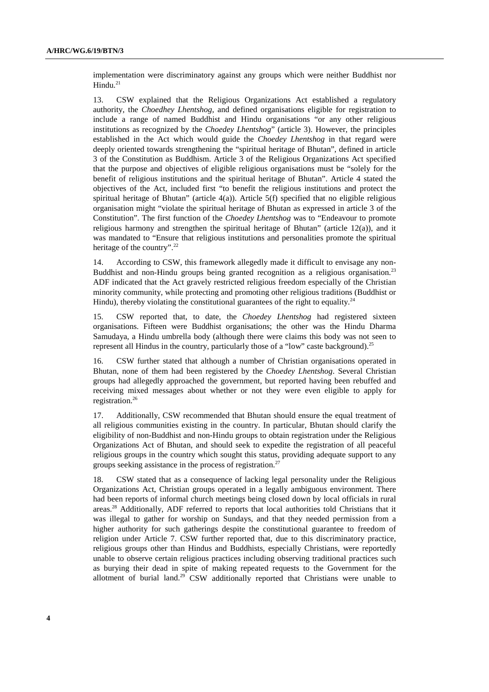implementation were discriminatory against any groups which were neither Buddhist nor  $Hindu.<sup>21</sup>$ 

13. CSW explained that the Religious Organizations Act established a regulatory authority, the *Choedhey Lhentshog*, and defined organisations eligible for registration to include a range of named Buddhist and Hindu organisations "or any other religious institutions as recognized by the *Choedey Lhentshog*" (article 3). However, the principles established in the Act which would guide the *Choedey Lhentshog* in that regard were deeply oriented towards strengthening the "spiritual heritage of Bhutan", defined in article 3 of the Constitution as Buddhism. Article 3 of the Religious Organizations Act specified that the purpose and objectives of eligible religious organisations must be "solely for the benefit of religious institutions and the spiritual heritage of Bhutan". Article 4 stated the objectives of the Act, included first "to benefit the religious institutions and protect the spiritual heritage of Bhutan" (article 4(a)). Article 5(f) specified that no eligible religious organisation might "violate the spiritual heritage of Bhutan as expressed in article 3 of the Constitution". The first function of the *Choedey Lhentshog* was to "Endeavour to promote religious harmony and strengthen the spiritual heritage of Bhutan" (article  $12(a)$ ), and it was mandated to "Ensure that religious institutions and personalities promote the spiritual heritage of the country".<sup>22</sup>

14. According to CSW, this framework allegedly made it difficult to envisage any non-Buddhist and non-Hindu groups being granted recognition as a religious organisation.<sup>23</sup> ADF indicated that the Act gravely restricted religious freedom especially of the Christian minority community, while protecting and promoting other religious traditions (Buddhist or Hindu), thereby violating the constitutional guarantees of the right to equality.<sup>24</sup>

15. CSW reported that, to date, the *Choedey Lhentshog* had registered sixteen organisations. Fifteen were Buddhist organisations; the other was the Hindu Dharma Samudaya, a Hindu umbrella body (although there were claims this body was not seen to represent all Hindus in the country, particularly those of a "low" caste background).<sup>25</sup>

16. CSW further stated that although a number of Christian organisations operated in Bhutan, none of them had been registered by the *Choedey Lhentshog*. Several Christian groups had allegedly approached the government, but reported having been rebuffed and receiving mixed messages about whether or not they were even eligible to apply for registration.26

17. Additionally, CSW recommended that Bhutan should ensure the equal treatment of all religious communities existing in the country. In particular, Bhutan should clarify the eligibility of non-Buddhist and non-Hindu groups to obtain registration under the Religious Organizations Act of Bhutan, and should seek to expedite the registration of all peaceful religious groups in the country which sought this status, providing adequate support to any groups seeking assistance in the process of registration.<sup>27</sup>

18. CSW stated that as a consequence of lacking legal personality under the Religious Organizations Act, Christian groups operated in a legally ambiguous environment. There had been reports of informal church meetings being closed down by local officials in rural areas.28 Additionally, ADF referred to reports that local authorities told Christians that it was illegal to gather for worship on Sundays, and that they needed permission from a higher authority for such gatherings despite the constitutional guarantee to freedom of religion under Article 7. CSW further reported that, due to this discriminatory practice, religious groups other than Hindus and Buddhists, especially Christians, were reportedly unable to observe certain religious practices including observing traditional practices such as burying their dead in spite of making repeated requests to the Government for the allotment of burial land.29 CSW additionally reported that Christians were unable to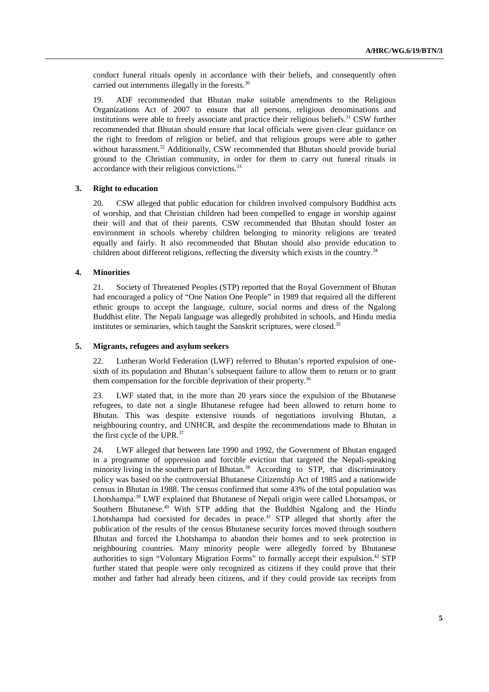conduct funeral rituals openly in accordance with their beliefs, and consequently often carried out internments illegally in the forests.<sup>30</sup>

19. ADF recommended that Bhutan make suitable amendments to the Religious Organizations Act of 2007 to ensure that all persons, religious denominations and institutions were able to freely associate and practice their religious beliefs.<sup>31</sup> CSW further recommended that Bhutan should ensure that local officials were given clear guidance on the right to freedom of religion or belief, and that religious groups were able to gather without harassment.<sup>32</sup> Additionally, CSW recommended that Bhutan should provide burial ground to the Christian community, in order for them to carry out funeral rituals in accordance with their religious convictions.<sup>33</sup>

### **3. Right to education**

20. CSW alleged that public education for children involved compulsory Buddhist acts of worship, and that Christian children had been compelled to engage in worship against their will and that of their parents. CSW recommended that Bhutan should foster an environment in schools whereby children belonging to minority religions are treated equally and fairly. It also recommended that Bhutan should also provide education to children about different religions, reflecting the diversity which exists in the country.<sup>34</sup>

#### **4. Minorities**

21. Society of Threatened Peoples (STP) reported that the Royal Government of Bhutan had encouraged a policy of "One Nation One People" in 1989 that required all the different ethnic groups to accept the language, culture, social norms and dress of the Ngalong Buddhist elite. The Nepali language was allegedly prohibited in schools, and Hindu media institutes or seminaries, which taught the Sanskrit scriptures, were closed.<sup>35</sup>

### **5. Migrants, refugees and asylum seekers**

22. Lutheran World Federation (LWF) referred to Bhutan's reported expulsion of onesixth of its population and Bhutan's subsequent failure to allow them to return or to grant them compensation for the forcible deprivation of their property.<sup>36</sup>

23. LWF stated that, in the more than 20 years since the expulsion of the Bhutanese refugees, to date not a single Bhutanese refugee had been allowed to return home to Bhutan. This was despite extensive rounds of negotiations involving Bhutan, a neighbouring country, and UNHCR, and despite the recommendations made to Bhutan in the first cycle of the UPR.37

24. LWF alleged that between late 1990 and 1992, the Government of Bhutan engaged in a programme of oppression and forcible eviction that targeted the Nepali-speaking minority living in the southern part of Bhutan.<sup>38</sup> According to STP, that discriminatory policy was based on the controversial Bhutanese Citizenship Act of 1985 and a nationwide census in Bhutan in 1988. The census confirmed that some 43% of the total population was Lhotshampa.39 LWF explained that Bhutanese of Nepali origin were called Lhotsampas, or Southern Bhutanese.<sup>40</sup> With STP adding that the Buddhist Ngalong and the Hindu Lhotshampa had coexisted for decades in peace.<sup>41</sup> STP alleged that shortly after the publication of the results of the census Bhutanese security forces moved through southern Bhutan and forced the Lhotshampa to abandon their homes and to seek protection in neighbouring countries. Many minority people were allegedly forced by Bhutanese authorities to sign "Voluntary Migration Forms" to formally accept their expulsion.<sup>42</sup> STP further stated that people were only recognized as citizens if they could prove that their mother and father had already been citizens, and if they could provide tax receipts from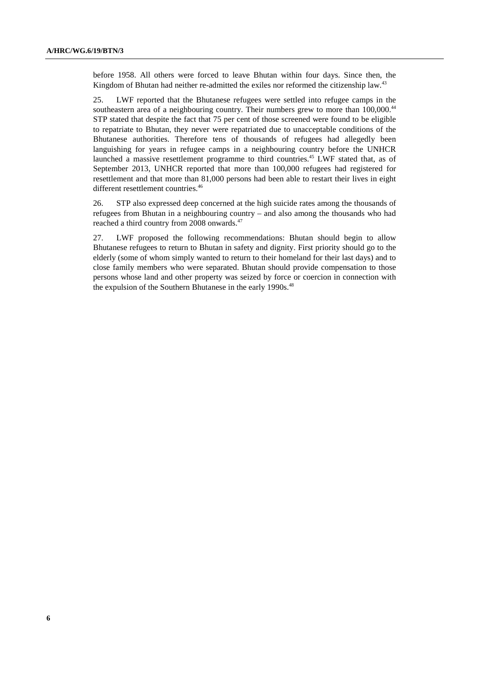before 1958. All others were forced to leave Bhutan within four days. Since then, the Kingdom of Bhutan had neither re-admitted the exiles nor reformed the citizenship law.<sup>43</sup>

25. LWF reported that the Bhutanese refugees were settled into refugee camps in the southeastern area of a neighbouring country. Their numbers grew to more than 100,000.<sup>44</sup> STP stated that despite the fact that 75 per cent of those screened were found to be eligible to repatriate to Bhutan, they never were repatriated due to unacceptable conditions of the Bhutanese authorities. Therefore tens of thousands of refugees had allegedly been languishing for years in refugee camps in a neighbouring country before the UNHCR launched a massive resettlement programme to third countries.<sup>45</sup> LWF stated that, as of September 2013, UNHCR reported that more than 100,000 refugees had registered for resettlement and that more than 81,000 persons had been able to restart their lives in eight different resettlement countries.<sup>46</sup>

26. STP also expressed deep concerned at the high suicide rates among the thousands of refugees from Bhutan in a neighbouring country – and also among the thousands who had reached a third country from 2008 onwards.<sup>47</sup>

27. LWF proposed the following recommendations: Bhutan should begin to allow Bhutanese refugees to return to Bhutan in safety and dignity. First priority should go to the elderly (some of whom simply wanted to return to their homeland for their last days) and to close family members who were separated. Bhutan should provide compensation to those persons whose land and other property was seized by force or coercion in connection with the expulsion of the Southern Bhutanese in the early 1990s.<sup>48</sup>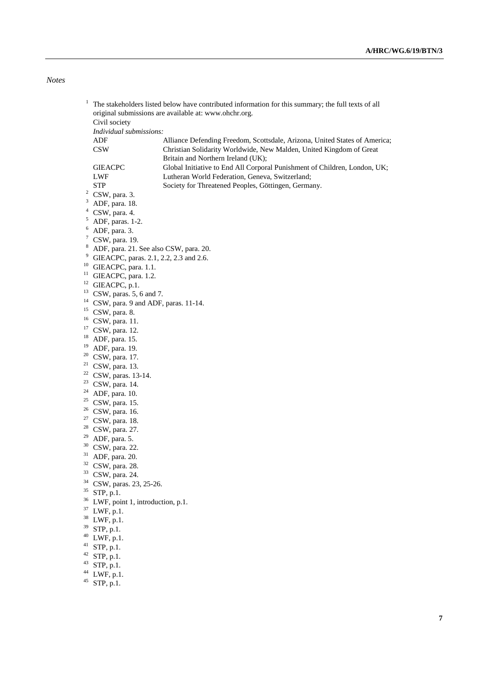*Notes* 

| 1                          |                | The stakeholders listed below have contributed information for this summary; the full texts of all |                                                                            |  |
|----------------------------|----------------|----------------------------------------------------------------------------------------------------|----------------------------------------------------------------------------|--|
|                            |                | original submissions are available at: www.ohchr.org.                                              |                                                                            |  |
|                            |                | Civil society                                                                                      |                                                                            |  |
|                            |                | Individual submissions:                                                                            |                                                                            |  |
|                            |                | ADF                                                                                                | Alliance Defending Freedom, Scottsdale, Arizona, United States of America; |  |
|                            |                | <b>CSW</b>                                                                                         | Christian Solidarity Worldwide, New Malden, United Kingdom of Great        |  |
|                            |                |                                                                                                    | Britain and Northern Ireland (UK);                                         |  |
|                            |                | <b>GIEACPC</b>                                                                                     | Global Initiative to End All Corporal Punishment of Children, London, UK;  |  |
|                            |                | <b>LWF</b>                                                                                         | Lutheran World Federation, Geneva, Switzerland;                            |  |
|                            |                | <b>STP</b>                                                                                         | Society for Threatened Peoples, Göttingen, Germany.                        |  |
|                            | $\overline{a}$ | CSW, para. 3.                                                                                      |                                                                            |  |
|                            | 3              | ADF, para. 18.                                                                                     |                                                                            |  |
|                            | $\overline{4}$ | CSW, para. 4.                                                                                      |                                                                            |  |
|                            | 5              | ADF, paras. 1-2.                                                                                   |                                                                            |  |
|                            | 6              | ADF, para. 3.                                                                                      |                                                                            |  |
|                            | 7              | CSW, para. 19.                                                                                     |                                                                            |  |
| 8<br>9<br>10               |                |                                                                                                    |                                                                            |  |
|                            |                | ADF, para. 21. See also CSW, para. 20.<br>GIEACPC, paras. 2.1, 2.2, 2.3 and 2.6.                   |                                                                            |  |
|                            |                | GIEACPC, para. 1.1.                                                                                |                                                                            |  |
|                            | 11             |                                                                                                    |                                                                            |  |
|                            |                | GIEACPC, para. 1.2.                                                                                |                                                                            |  |
|                            | 13             | <sup>12</sup> GIEACPC, p.1.                                                                        |                                                                            |  |
|                            |                | CSW, paras. 5, 6 and 7.                                                                            |                                                                            |  |
|                            | 15             | <sup>14</sup> CSW, para. 9 and ADF, paras. 11-14.                                                  |                                                                            |  |
|                            | 16             | CSW, para. 8.                                                                                      |                                                                            |  |
|                            | 17             | CSW, para. 11.                                                                                     |                                                                            |  |
|                            |                | CSW, para. 12.                                                                                     |                                                                            |  |
|                            | 18<br>19       | ADF, para. 15.                                                                                     |                                                                            |  |
|                            |                | ADF, para. 19.                                                                                     |                                                                            |  |
|                            |                | $20$ CSW, para. 17.                                                                                |                                                                            |  |
|                            |                | $21$ CSW, para. 13.                                                                                |                                                                            |  |
|                            |                | $22$ CSW, paras. 13-14.                                                                            |                                                                            |  |
|                            | 23             | CSW, para. 14.                                                                                     |                                                                            |  |
|                            | 24             | ADF, para. 10.                                                                                     |                                                                            |  |
|                            | 25             | CSW, para. 15.                                                                                     |                                                                            |  |
|                            |                | $26$ CSW, para. 16.                                                                                |                                                                            |  |
|                            | 27             | CSW, para. 18.                                                                                     |                                                                            |  |
|                            | 28             | CSW, para. 27.                                                                                     |                                                                            |  |
| 29                         |                | ADF, para. 5.                                                                                      |                                                                            |  |
|                            | 30             | CSW, para. 22.                                                                                     |                                                                            |  |
|                            | 31             | ADF, para. 20.                                                                                     |                                                                            |  |
| 32<br>33<br>34<br>35<br>37 |                | CSW, para. 28.                                                                                     |                                                                            |  |
|                            |                | CSW, para. 24.                                                                                     |                                                                            |  |
|                            |                | CSW, paras. 23, 25-26.                                                                             |                                                                            |  |
|                            |                | STP, p.1.                                                                                          |                                                                            |  |
|                            |                | <sup>36</sup> LWF, point 1, introduction, p.1.                                                     |                                                                            |  |
|                            |                | LWF, p.1.                                                                                          |                                                                            |  |
|                            |                | <sup>38</sup> LWF, p.1.                                                                            |                                                                            |  |
|                            | 39             | STP, p.1.                                                                                          |                                                                            |  |
| 40<br>41                   |                | LWF, p.1.                                                                                          |                                                                            |  |
|                            |                | STP, p.1.                                                                                          |                                                                            |  |
|                            |                | $42$ STP, p.1.                                                                                     |                                                                            |  |
|                            | 43             | STP, p.1.                                                                                          |                                                                            |  |
|                            |                | $44$ LWF, p.1.                                                                                     |                                                                            |  |
|                            |                | $45$ STP, p.1.                                                                                     |                                                                            |  |
|                            |                |                                                                                                    |                                                                            |  |
|                            |                |                                                                                                    |                                                                            |  |